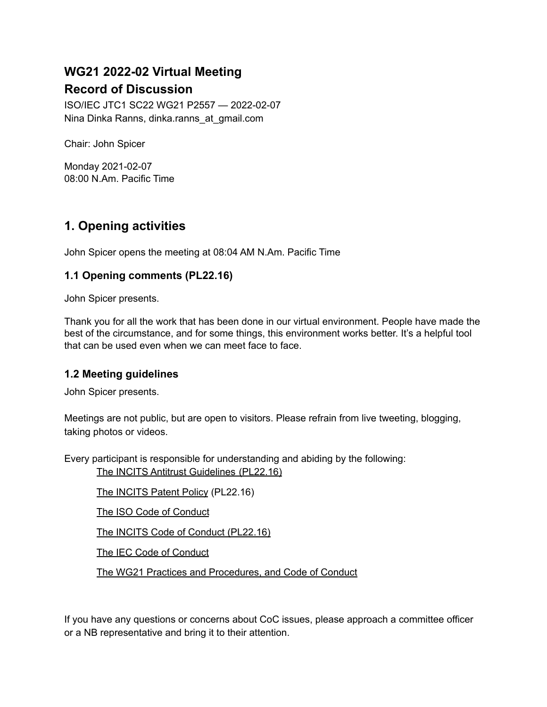# **WG21 2022-02 Virtual Meeting Record of Discussion**

ISO/IEC JTC1 SC22 WG21 P2557 — 2022-02-07 Nina Dinka Ranns, dinka.ranns\_at\_gmail.com

Chair: John Spicer

Monday 2021-02-07 08:00 N.Am. Pacific Time

# **1. Opening activities**

John Spicer opens the meeting at 08:04 AM N.Am. Pacific Time

# **1.1 Opening comments (PL22.16)**

John Spicer presents.

Thank you for all the work that has been done in our virtual environment. People have made the best of the circumstance, and for some things, this environment works better. It's a helpful tool that can be used even when we can meet face to face.

### **1.2 Meeting guidelines**

John Spicer presents.

Meetings are not public, but are open to visitors. Please refrain from live tweeting, blogging, taking photos or videos.

Every participant is responsible for understanding and abiding by the following:

The INCITS Antitrust [Guidelines](http://www.incits.org/standards-information/legal-info) (PL22.16)

The [INCITS](http://www.incits.org/dotAsset/63b6e457-53b9-4933-9835-7c74e77ca2fd.pdf) Patent Policy (PL22.16)

The ISO Code of [Conduct](https://www.iso.org/files/live/sites/isoorg/files/store/en/PUB100397.pdf)

The INCITS Code of Conduct [\(PL22.16\)](http://standards.incits.org/apps/group_public/document.php?document_id=124850&wg_abbrev=eb)

The IEC Code of [Conduct](https://basecamp.iec.ch/download/iec-code-of-conduct-for-delegates-and-experts)

The WG21 Practices and [Procedures,](https://isocpp.org/std/standing-documents/sd-4-wg21-practices-and-procedures) and Code of Conduct

If you have any questions or concerns about CoC issues, please approach a committee officer or a NB representative and bring it to their attention.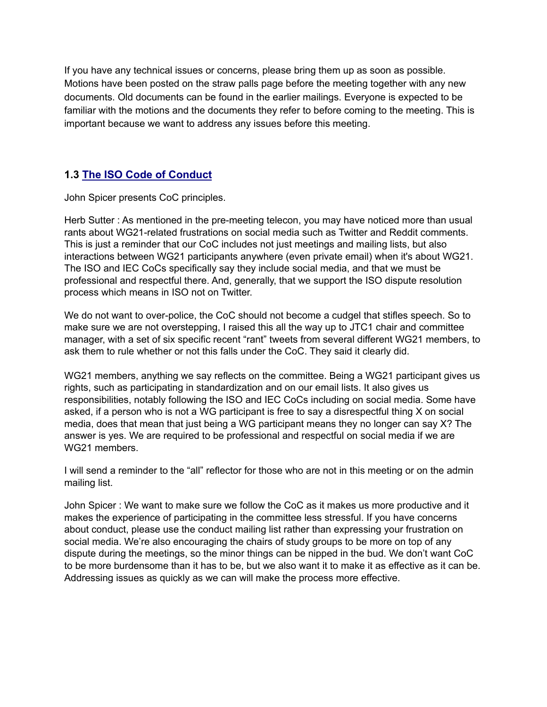If you have any technical issues or concerns, please bring them up as soon as possible. Motions have been posted on the straw palls page before the meeting together with any new documents. Old documents can be found in the earlier mailings. Everyone is expected to be familiar with the motions and the documents they refer to before coming to the meeting. This is important because we want to address any issues before this meeting.

# **1.3 [The ISO Code of Conduct](https://www.iso.org/files/live/sites/isoorg/files/store/en/PUB100397.pdf)**

John Spicer presents CoC principles.

Herb Sutter : As mentioned in the pre-meeting telecon, you may have noticed more than usual rants about WG21-related frustrations on social media such as Twitter and Reddit comments. This is just a reminder that our CoC includes not just meetings and mailing lists, but also interactions between WG21 participants anywhere (even private email) when it's about WG21. The ISO and IEC CoCs specifically say they include social media, and that we must be professional and respectful there. And, generally, that we support the ISO dispute resolution process which means in ISO not on Twitter.

We do not want to over-police, the CoC should not become a cudgel that stifles speech. So to make sure we are not overstepping, I raised this all the way up to JTC1 chair and committee manager, with a set of six specific recent "rant" tweets from several different WG21 members, to ask them to rule whether or not this falls under the CoC. They said it clearly did.

WG21 members, anything we say reflects on the committee. Being a WG21 participant gives us rights, such as participating in standardization and on our email lists. It also gives us responsibilities, notably following the ISO and IEC CoCs including on social media. Some have asked, if a person who is not a WG participant is free to say a disrespectful thing X on social media, does that mean that just being a WG participant means they no longer can say X? The answer is yes. We are required to be professional and respectful on social media if we are WG21 members.

I will send a reminder to the "all" reflector for those who are not in this meeting or on the admin mailing list.

John Spicer : We want to make sure we follow the CoC as it makes us more productive and it makes the experience of participating in the committee less stressful. If you have concerns about conduct, please use the conduct mailing list rather than expressing your frustration on social media. We're also encouraging the chairs of study groups to be more on top of any dispute during the meetings, so the minor things can be nipped in the bud. We don't want CoC to be more burdensome than it has to be, but we also want it to make it as effective as it can be. Addressing issues as quickly as we can will make the process more effective.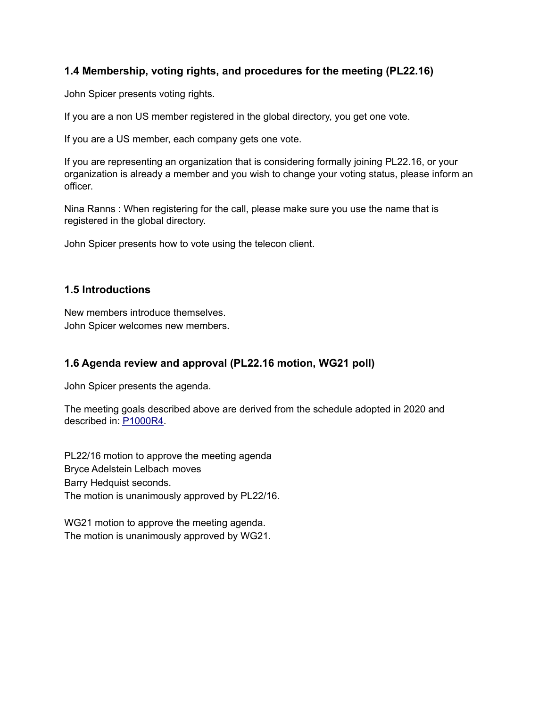# **1.4 Membership, voting rights, and procedures for the meeting (PL22.16)**

John Spicer presents voting rights.

If you are a non US member registered in the global directory, you get one vote.

If you are a US member, each company gets one vote.

If you are representing an organization that is considering formally joining PL22.16, or your organization is already a member and you wish to change your voting status, please inform an officer.

Nina Ranns : When registering for the call, please make sure you use the name that is registered in the global directory.

John Spicer presents how to vote using the telecon client.

### **1.5 Introductions**

New members introduce themselves. John Spicer welcomes new members.

# **1.6 Agenda review and approval (PL22.16 motion, WG21 poll)**

John Spicer presents the agenda.

The meeting goals described above are derived from the schedule adopted in 2020 and described in: [P1000R4](http://www.open-std.org/jtc1/sc22/wg21/docs/papers/2020/p1000r4.pdf).

PL22/16 motion to approve the meeting agenda Bryce Adelstein Lelbach moves Barry Hedquist seconds. The motion is unanimously approved by PL22/16.

WG21 motion to approve the meeting agenda. The motion is unanimously approved by WG21.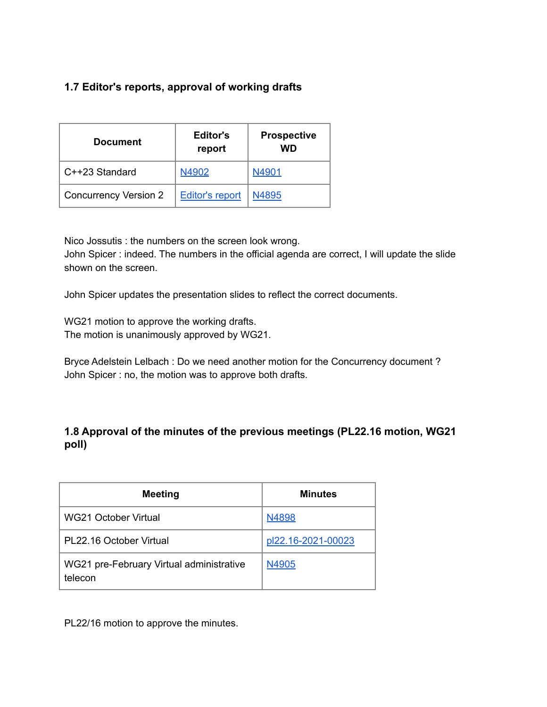# **1.7 Editor's reports, approval of working drafts**

| <b>Document</b>              | Editor's<br>report     | <b>Prospective</b><br>WD |
|------------------------------|------------------------|--------------------------|
| C++23 Standard               | N4902                  | N4901                    |
| <b>Concurrency Version 2</b> | <b>Editor's report</b> | N4895                    |

Nico Jossutis : the numbers on the screen look wrong.

John Spicer : indeed. The numbers in the official agenda are correct, I will update the slide shown on the screen.

John Spicer updates the presentation slides to reflect the correct documents.

WG21 motion to approve the working drafts. The motion is unanimously approved by WG21.

Bryce Adelstein Lelbach : Do we need another motion for the Concurrency document ? John Spicer : no, the motion was to approve both drafts.

# **1.8 Approval of the minutes of the previous meetings (PL22.16 motion, WG21 poll)**

| <b>Meeting</b>                                      | <b>Minutes</b>     |
|-----------------------------------------------------|--------------------|
| WG21 October Virtual                                | N4898              |
| PL22.16 October Virtual                             | pl22.16-2021-00023 |
| WG21 pre-February Virtual administrative<br>telecon | N4905              |

PL22/16 motion to approve the minutes.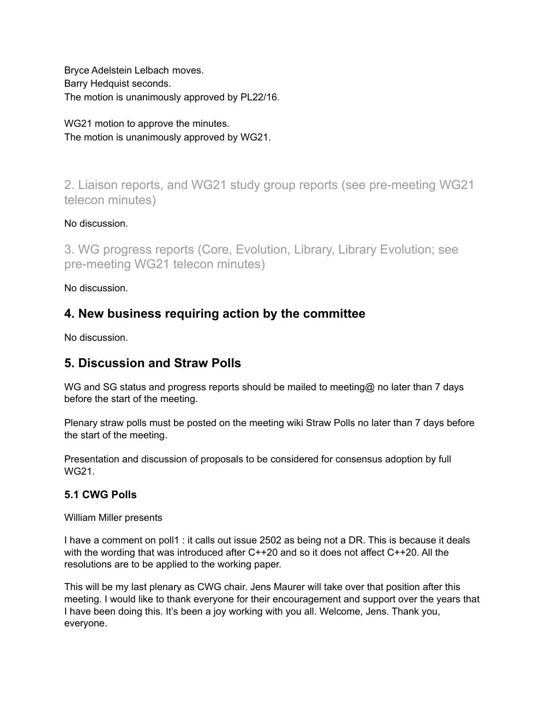Bryce Adelstein Lelbach moves. Barry Hedquist seconds. The motion is unanimously approved by PL22/16.

WG21 motion to approve the minutes. The motion is unanimously approved by WG21.

2. Liaison reports, and WG21 study group reports (see pre-meeting WG21 telecon minutes)

# No discussion.

3. WG progress reports (Core, Evolution, Library, Library Evolution; see pre-meeting WG21 telecon minutes)

No discussion.

# **4. New business requiring action by the committee**

No discussion.

# **5. Discussion and Straw Polls**

WG and SG status and progress reports should be mailed to meeting@ no later than 7 days before the start of the meeting.

Plenary straw polls must be posted on the meeting wiki Straw Polls no later than 7 days before the start of the meeting.

Presentation and discussion of proposals to be considered for consensus adoption by full WG21.

# **5.1 CWG Polls**

William Miller presents

I have a comment on poll1 : it calls out issue 2502 as being not a DR. This is because it deals with the wording that was introduced after C++20 and so it does not affect C++20. All the resolutions are to be applied to the working paper.

This will be my last plenary as CWG chair. Jens Maurer will take over that position after this meeting. I would like to thank everyone for their encouragement and support over the years that I have been doing this. It's been a joy working with you all. Welcome, Jens. Thank you, everyone.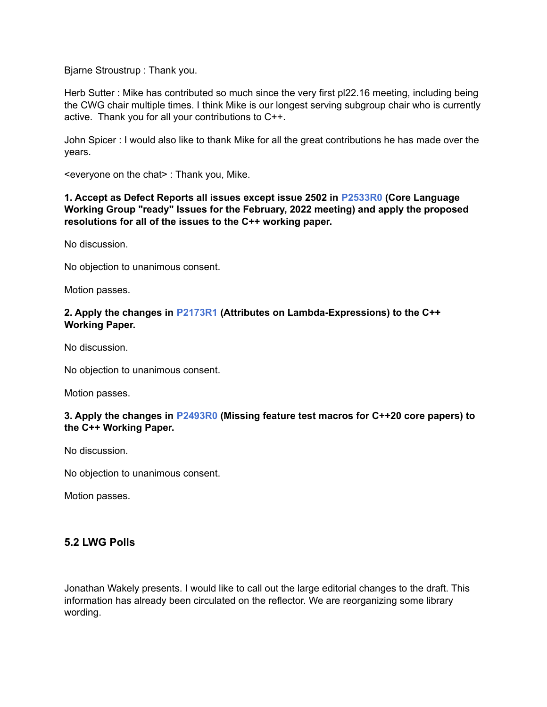Bjarne Stroustrup : Thank you.

Herb Sutter : Mike has contributed so much since the very first pl22.16 meeting, including being the CWG chair multiple times. I think Mike is our longest serving subgroup chair who is currently active. Thank you for all your contributions to C++.

John Spicer : I would also like to thank Mike for all the great contributions he has made over the years.

<everyone on the chat> : Thank you, Mike.

#### **1. Accept as Defect Reports all issues except issue 2502 in [P2533R0](https://wiki.edg.com/pub/Wg21virtual2022-02/StrawPolls/p2533r0.html) (Core Language Working Group "ready" Issues for the February, 2022 meeting) and apply the proposed resolutions for all of the issues to the C++ working paper.**

No discussion.

No objection to unanimous consent.

Motion passes.

#### **2. Apply the changes in [P2173R1](http://www.open-std.org/jtc1/sc22/wg21/docs/papers/2021/p2173r1.pdf) (Attributes on Lambda-Expressions) to the C++ Working Paper.**

No discussion.

No objection to unanimous consent.

Motion passes.

#### **3. Apply the changes in [P2493R0](http://www.open-std.org/jtc1/sc22/wg21/docs/papers/2021/p2493r0.html) (Missing feature test macros for C++20 core papers) to the C++ Working Paper.**

No discussion.

No objection to unanimous consent.

Motion passes.

## **5.2 LWG Polls**

Jonathan Wakely presents. I would like to call out the large editorial changes to the draft. This information has already been circulated on the reflector. We are reorganizing some library wording.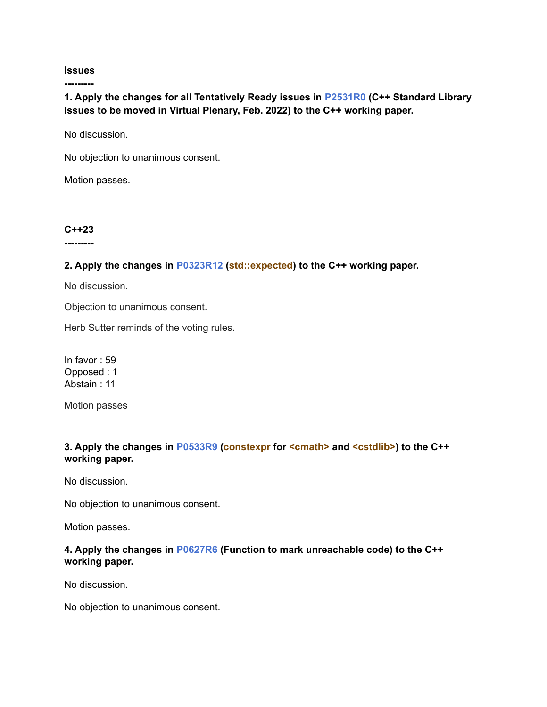#### **Issues**

**---------**

**1. Apply the changes for all Tentatively Ready issues in [P2531R0](https://wiki.edg.com/pub/Wg21virtual2022-02/StrawPolls/p2531r0.html) (C++ Standard Library Issues to be moved in Virtual Plenary, Feb. 2022) to the C++ working paper.**

No discussion.

No objection to unanimous consent.

Motion passes.

#### **C++23**

**---------**

#### **2. Apply the changes in [P0323R12](https://wiki.edg.com/pub/Wg21virtual2022-02/StrawPolls/P0323R12.html) (std::expected) to the C++ working paper.**

No discussion.

Objection to unanimous consent.

Herb Sutter reminds of the voting rules.

In favor : 59 Opposed : 1 Abstain : 11

Motion passes

#### **3. Apply the changes in [P0533R9](http://www.open-std.org/jtc1/sc22/wg21/docs/papers/2021/p0533r9.pdf) (constexpr for <cmath> and <cstdlib>) to the C++ working paper.**

No discussion.

No objection to unanimous consent.

Motion passes.

#### **4. Apply the changes in [P0627R6](http://www.open-std.org/jtc1/sc22/wg21/docs/papers/2021/p0627r6.pdf) (Function to mark unreachable code) to the C++ working paper.**

No discussion.

No objection to unanimous consent.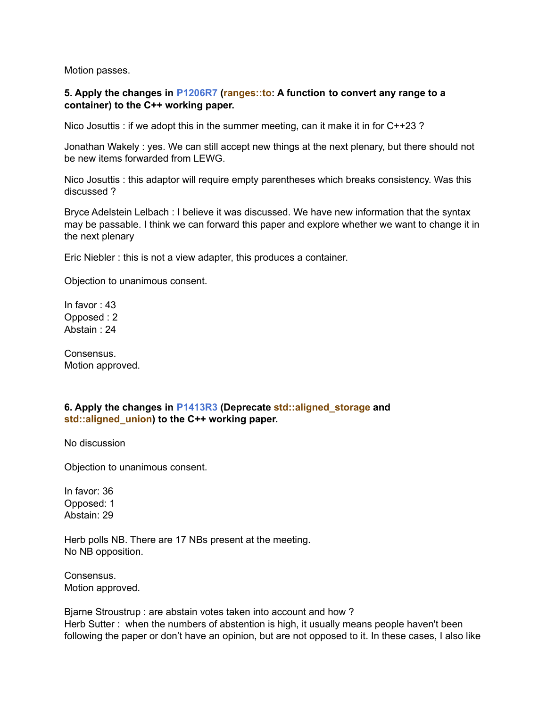Motion passes.

#### **5. Apply the changes in [P1206R7](http://www.open-std.org/jtc1/sc22/wg21/docs/papers/2022/p1206r7.pdf) (ranges::to: A function to convert any range to a container) to the C++ working paper.**

Nico Josuttis : if we adopt this in the summer meeting, can it make it in for C++23 ?

Jonathan Wakely : yes. We can still accept new things at the next plenary, but there should not be new items forwarded from LEWG.

Nico Josuttis : this adaptor will require empty parentheses which breaks consistency. Was this discussed ?

Bryce Adelstein Lelbach : I believe it was discussed. We have new information that the syntax may be passable. I think we can forward this paper and explore whether we want to change it in the next plenary

Eric Niebler : this is not a view adapter, this produces a container.

Objection to unanimous consent.

In favor : 43 Opposed : 2 Abstain : 24

Consensus. Motion approved.

#### **6. Apply the changes in [P1413R3](http://www.open-std.org/jtc1/sc22/wg21/docs/papers/2021/p1413r3.pdf) (Deprecate std::aligned\_storage and std::aligned\_union) to the C++ working paper.**

No discussion

Objection to unanimous consent.

In favor: 36 Opposed: 1 Abstain: 29

Herb polls NB. There are 17 NBs present at the meeting. No NB opposition.

Consensus. Motion approved.

Bjarne Stroustrup : are abstain votes taken into account and how ? Herb Sutter : when the numbers of abstention is high, it usually means people haven't been following the paper or don't have an opinion, but are not opposed to it. In these cases, I also like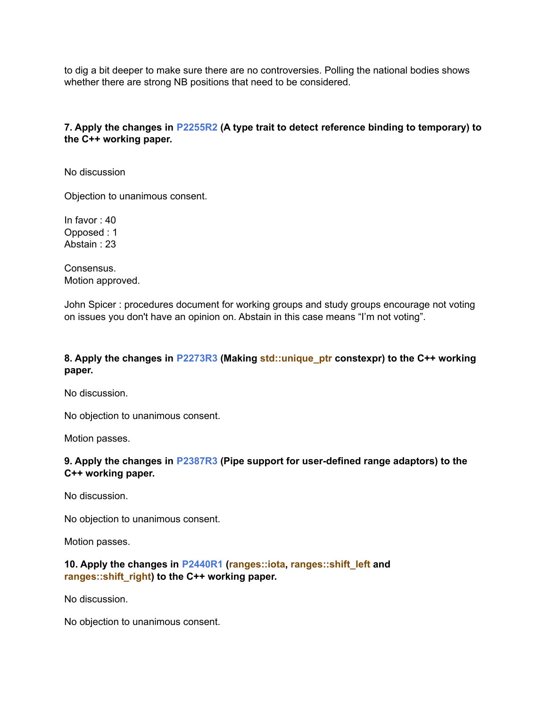to dig a bit deeper to make sure there are no controversies. Polling the national bodies shows whether there are strong NB positions that need to be considered.

#### **7. Apply the changes in [P2255R2](http://www.open-std.org/jtc1/sc22/wg21/docs/papers/2021/p2255r2.html) (A type trait to detect reference binding to temporary) to the C++ working paper.**

No discussion

Objection to unanimous consent.

In favor : 40 Opposed : 1 Abstain : 23

Consensus. Motion approved.

John Spicer : procedures document for working groups and study groups encourage not voting on issues you don't have an opinion on. Abstain in this case means "I'm not voting".

#### **8. Apply the changes in [P2273R3](http://www.open-std.org/jtc1/sc22/wg21/docs/papers/2021/p2273r3.pdf) (Making std::unique\_ptr constexpr) to the C++ working paper.**

No discussion.

No objection to unanimous consent.

Motion passes.

#### **9. Apply the changes in [P2387R3](http://www.open-std.org/jtc1/sc22/wg21/docs/papers/2021/p2387r3.html) (Pipe support for user-defined range adaptors) to the C++ working paper.**

No discussion.

No objection to unanimous consent.

Motion passes.

#### **10. Apply the changes in [P2440R1](http://www.open-std.org/jtc1/sc22/wg21/docs/papers/2021/p2440r1.html) (ranges::iota, ranges::shift\_left and ranges::shift\_right) to the C++ working paper.**

No discussion.

No objection to unanimous consent.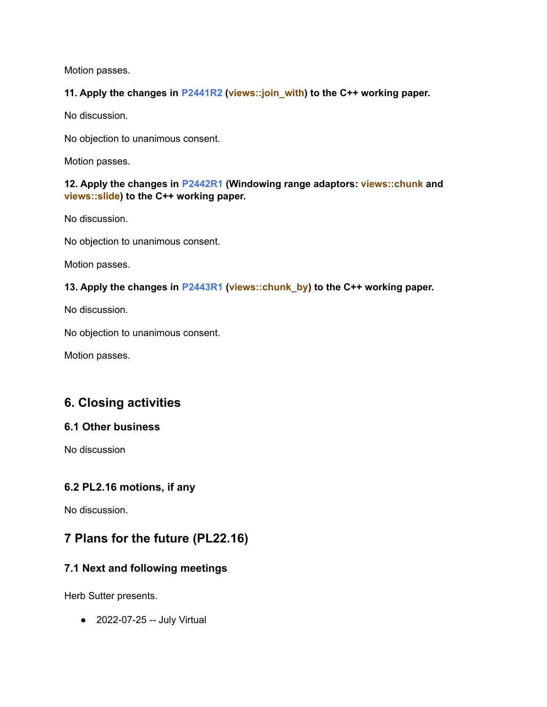Motion passes.

### **11. Apply the changes in [P2441R2](https://wiki.edg.com/pub/Wg21virtual2022-02/StrawPolls/p2441r2.html) (views::join\_with) to the C++ working paper.**

No discussion.

No objection to unanimous consent.

Motion passes.

### **12. Apply the changes in [P2442R1](http://www.open-std.org/jtc1/sc22/wg21/docs/papers/2021/p2442r1.html) (Windowing range adaptors: views::chunk and views::slide) to the C++ working paper.**

No discussion.

No objection to unanimous consent.

Motion passes.

# **13. Apply the changes in [P2443R1](http://www.open-std.org/jtc1/sc22/wg21/docs/papers/2021/p2443r1.html) (views::chunk\_by) to the C++ working paper.**

No discussion.

No objection to unanimous consent.

Motion passes.

# **6. Closing activities**

### **6.1 Other business**

No discussion

# **6.2 PL2.16 motions, if any**

No discussion.

# **7 Plans for the future (PL22.16)**

# **7.1 Next and following meetings**

Herb Sutter presents.

● 2022-07-25 -- July Virtual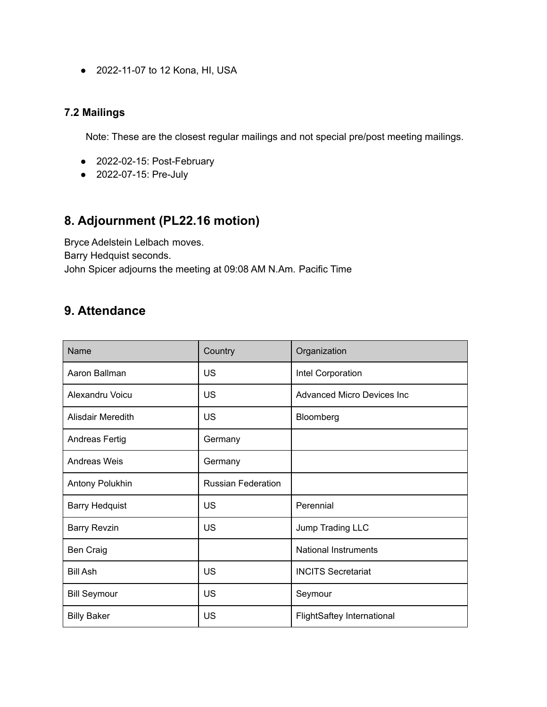● 2022-11-07 to 12 Kona, HI, USA

### **7.2 Mailings**

Note: These are the closest regular mailings and not special pre/post meeting mailings.

- 2022-02-15: Post-February
- 2022-07-15: Pre-July

# **8. Adjournment (PL22.16 motion)**

Bryce Adelstein Lelbach moves. Barry Hedquist seconds. John Spicer adjourns the meeting at 09:08 AM N.Am. Pacific Time

# **9. Attendance**

| Name                  | Country                   | Organization                      |
|-----------------------|---------------------------|-----------------------------------|
| Aaron Ballman         | US                        | Intel Corporation                 |
| Alexandru Voicu       | <b>US</b>                 | <b>Advanced Micro Devices Inc</b> |
| Alisdair Meredith     | <b>US</b>                 | Bloomberg                         |
| Andreas Fertig        | Germany                   |                                   |
| Andreas Weis          | Germany                   |                                   |
| Antony Polukhin       | <b>Russian Federation</b> |                                   |
| <b>Barry Hedquist</b> | US                        | Perennial                         |
| <b>Barry Revzin</b>   | <b>US</b>                 | Jump Trading LLC                  |
| <b>Ben Craig</b>      |                           | <b>National Instruments</b>       |
| <b>Bill Ash</b>       | <b>US</b>                 | <b>INCITS Secretariat</b>         |
| <b>Bill Seymour</b>   | US                        | Seymour                           |
| <b>Billy Baker</b>    | <b>US</b>                 | <b>FlightSaftey International</b> |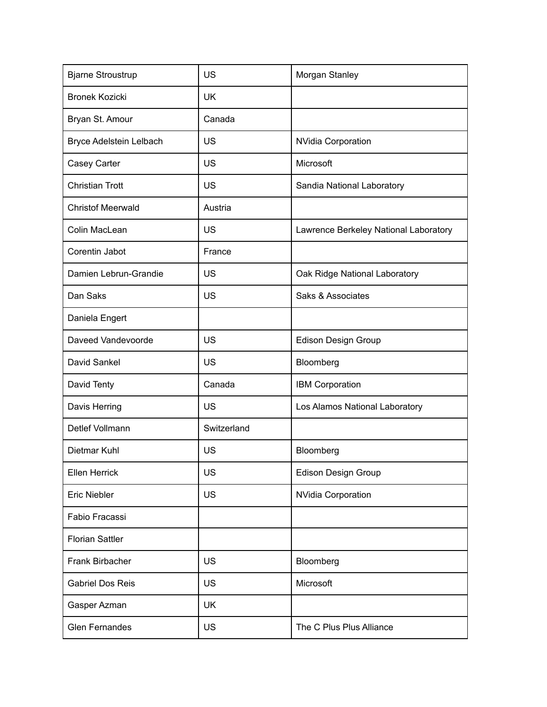| <b>Bjarne Stroustrup</b> | <b>US</b>   | Morgan Stanley                        |
|--------------------------|-------------|---------------------------------------|
| <b>Bronek Kozicki</b>    | <b>UK</b>   |                                       |
| Bryan St. Amour          | Canada      |                                       |
| Bryce Adelstein Lelbach  | <b>US</b>   | <b>NVidia Corporation</b>             |
| Casey Carter             | US          | Microsoft                             |
| <b>Christian Trott</b>   | <b>US</b>   | Sandia National Laboratory            |
| <b>Christof Meerwald</b> | Austria     |                                       |
| Colin MacLean            | <b>US</b>   | Lawrence Berkeley National Laboratory |
| Corentin Jabot           | France      |                                       |
| Damien Lebrun-Grandie    | US          | Oak Ridge National Laboratory         |
| Dan Saks                 | US          | Saks & Associates                     |
| Daniela Engert           |             |                                       |
| Daveed Vandevoorde       | US          | <b>Edison Design Group</b>            |
| David Sankel             | <b>US</b>   | Bloomberg                             |
| David Tenty              | Canada      | IBM Corporation                       |
| Davis Herring            | <b>US</b>   | Los Alamos National Laboratory        |
| Detlef Vollmann          | Switzerland |                                       |
| Dietmar Kuhl             | US          | Bloomberg                             |
| <b>Ellen Herrick</b>     | US          | Edison Design Group                   |
| Eric Niebler             | <b>US</b>   | <b>NVidia Corporation</b>             |
| Fabio Fracassi           |             |                                       |
| <b>Florian Sattler</b>   |             |                                       |
| Frank Birbacher          | <b>US</b>   | Bloomberg                             |
| <b>Gabriel Dos Reis</b>  | <b>US</b>   | Microsoft                             |
| Gasper Azman             | <b>UK</b>   |                                       |
| <b>Glen Fernandes</b>    | US          | The C Plus Plus Alliance              |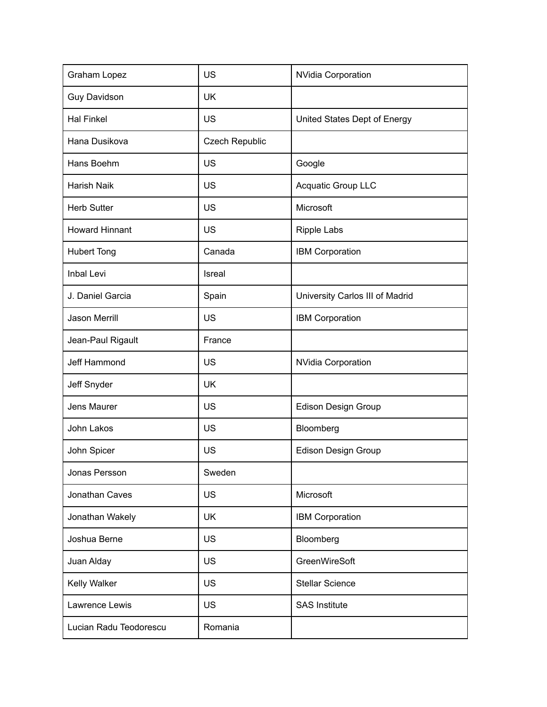| Graham Lopez           | <b>US</b>             | <b>NVidia Corporation</b>       |
|------------------------|-----------------------|---------------------------------|
| <b>Guy Davidson</b>    | <b>UK</b>             |                                 |
| <b>Hal Finkel</b>      | <b>US</b>             | United States Dept of Energy    |
| Hana Dusikova          | <b>Czech Republic</b> |                                 |
| Hans Boehm             | <b>US</b>             | Google                          |
| <b>Harish Naik</b>     | <b>US</b>             | Acquatic Group LLC              |
| <b>Herb Sutter</b>     | <b>US</b>             | Microsoft                       |
| <b>Howard Hinnant</b>  | <b>US</b>             | <b>Ripple Labs</b>              |
| <b>Hubert Tong</b>     | Canada                | IBM Corporation                 |
| Inbal Levi             | Isreal                |                                 |
| J. Daniel Garcia       | Spain                 | University Carlos III of Madrid |
| <b>Jason Merrill</b>   | <b>US</b>             | <b>IBM Corporation</b>          |
| Jean-Paul Rigault      | France                |                                 |
| Jeff Hammond           | US                    | <b>NVidia Corporation</b>       |
| Jeff Snyder            | <b>UK</b>             |                                 |
| Jens Maurer            | <b>US</b>             | <b>Edison Design Group</b>      |
| John Lakos             | <b>US</b>             | Bloomberg                       |
| John Spicer            | <b>US</b>             | <b>Edison Design Group</b>      |
| Jonas Persson          | Sweden                |                                 |
| Jonathan Caves         | <b>US</b>             | Microsoft                       |
| Jonathan Wakely        | <b>UK</b>             | <b>IBM Corporation</b>          |
| Joshua Berne           | <b>US</b>             | Bloomberg                       |
| Juan Alday             | <b>US</b>             | GreenWireSoft                   |
| Kelly Walker           | <b>US</b>             | <b>Stellar Science</b>          |
| Lawrence Lewis         | <b>US</b>             | <b>SAS Institute</b>            |
| Lucian Radu Teodorescu | Romania               |                                 |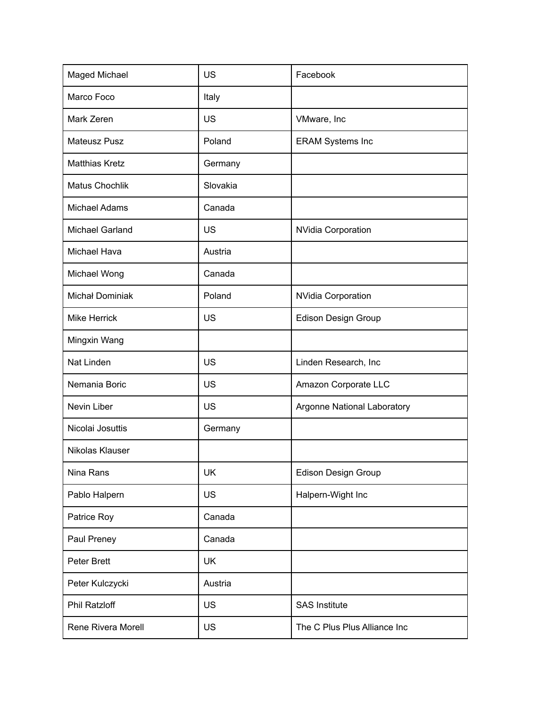| Maged Michael          | <b>US</b> | Facebook                     |
|------------------------|-----------|------------------------------|
| Marco Foco             | Italy     |                              |
| Mark Zeren             | <b>US</b> | VMware, Inc                  |
| <b>Mateusz Pusz</b>    | Poland    | <b>ERAM Systems Inc</b>      |
| <b>Matthias Kretz</b>  | Germany   |                              |
| <b>Matus Chochlik</b>  | Slovakia  |                              |
| <b>Michael Adams</b>   | Canada    |                              |
| <b>Michael Garland</b> | US        | <b>NVidia Corporation</b>    |
| Michael Hava           | Austria   |                              |
| Michael Wong           | Canada    |                              |
| <b>Michał Dominiak</b> | Poland    | <b>NVidia Corporation</b>    |
| <b>Mike Herrick</b>    | <b>US</b> | <b>Edison Design Group</b>   |
| Mingxin Wang           |           |                              |
| Nat Linden             | <b>US</b> | Linden Research, Inc         |
| Nemania Boric          | <b>US</b> | Amazon Corporate LLC         |
| Nevin Liber            | <b>US</b> | Argonne National Laboratory  |
| Nicolai Josuttis       | Germany   |                              |
| Nikolas Klauser        |           |                              |
| Nina Rans              | UK        | Edison Design Group          |
| Pablo Halpern          | <b>US</b> | Halpern-Wight Inc            |
| Patrice Roy            | Canada    |                              |
| Paul Preney            | Canada    |                              |
| Peter Brett            | <b>UK</b> |                              |
| Peter Kulczycki        | Austria   |                              |
| <b>Phil Ratzloff</b>   | <b>US</b> | <b>SAS Institute</b>         |
| Rene Rivera Morell     | <b>US</b> | The C Plus Plus Alliance Inc |